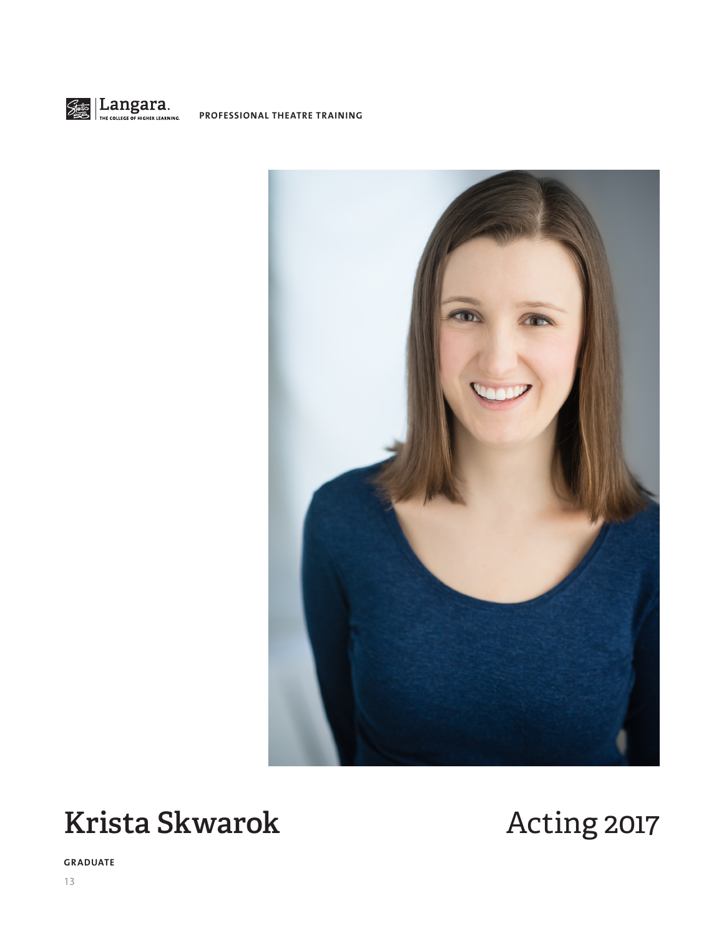



# **Krista Skwarok** Acting 2017

**GRADUATE**